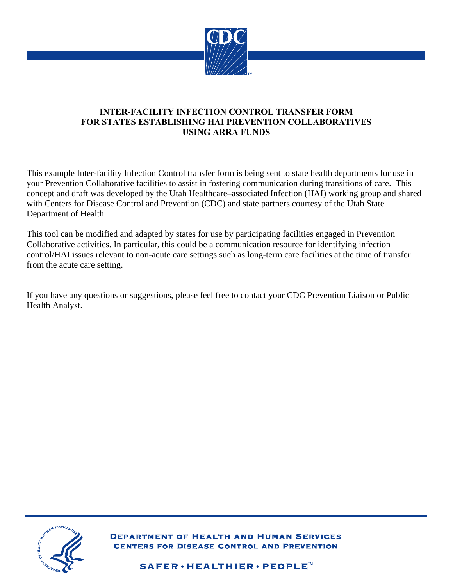

### **INTER-FACILITY INFECTION CONTROL TRANSFER FORM FOR STATES ESTABLISHING HAI PREVENTION COLLABORATIVES USING ARRA FUNDS**

This example Inter-facility Infection Control transfer form is being sent to state health departments for use in your Prevention Collaborative facilities to assist in fostering communication during transitions of care. This concept and draft was developed by the Utah Healthcare–associated Infection (HAI) working group and shared with Centers for Disease Control and Prevention (CDC) and state partners courtesy of the Utah State Department of Health.

This tool can be modified and adapted by states for use by participating facilities engaged in Prevention Collaborative activities. In particular, this could be a communication resource for identifying infection control/HAI issues relevant to non-acute care settings such as long-term care facilities at the time of transfer from the acute care setting.

If you have any questions or suggestions, please feel free to contact your CDC Prevention Liaison or Public Health Analyst.



**DEPARTMENT OF HEALTH AND HUMAN SERVICES CENTERS FOR DISEASE CONTROL AND PREVENTION** 

SAFER · HEALTHIER · PEOPLE<sup>™</sup>